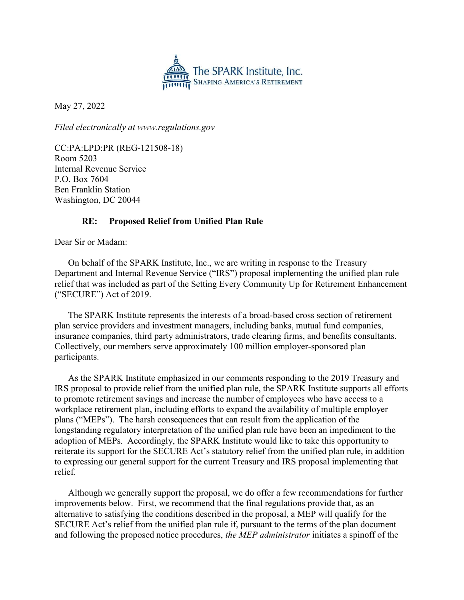

May 27, 2022

Filed electronically at www.regulations.gov

CC:PA:LPD:PR (REG-121508-18) Room 5203 Internal Revenue Service P.O. Box 7604 Ben Franklin Station Washington, DC 20044

# RE: Proposed Relief from Unified Plan Rule

Dear Sir or Madam:

On behalf of the SPARK Institute, Inc., we are writing in response to the Treasury Department and Internal Revenue Service ("IRS") proposal implementing the unified plan rule relief that was included as part of the Setting Every Community Up for Retirement Enhancement ("SECURE") Act of 2019.

The SPARK Institute represents the interests of a broad-based cross section of retirement plan service providers and investment managers, including banks, mutual fund companies, insurance companies, third party administrators, trade clearing firms, and benefits consultants. Collectively, our members serve approximately 100 million employer-sponsored plan participants.

As the SPARK Institute emphasized in our comments responding to the 2019 Treasury and IRS proposal to provide relief from the unified plan rule, the SPARK Institute supports all efforts to promote retirement savings and increase the number of employees who have access to a workplace retirement plan, including efforts to expand the availability of multiple employer plans ("MEPs"). The harsh consequences that can result from the application of the longstanding regulatory interpretation of the unified plan rule have been an impediment to the adoption of MEPs. Accordingly, the SPARK Institute would like to take this opportunity to reiterate its support for the SECURE Act's statutory relief from the unified plan rule, in addition to expressing our general support for the current Treasury and IRS proposal implementing that relief.

Although we generally support the proposal, we do offer a few recommendations for further improvements below. First, we recommend that the final regulations provide that, as an alternative to satisfying the conditions described in the proposal, a MEP will qualify for the SECURE Act's relief from the unified plan rule if, pursuant to the terms of the plan document and following the proposed notice procedures, the MEP administrator initiates a spinoff of the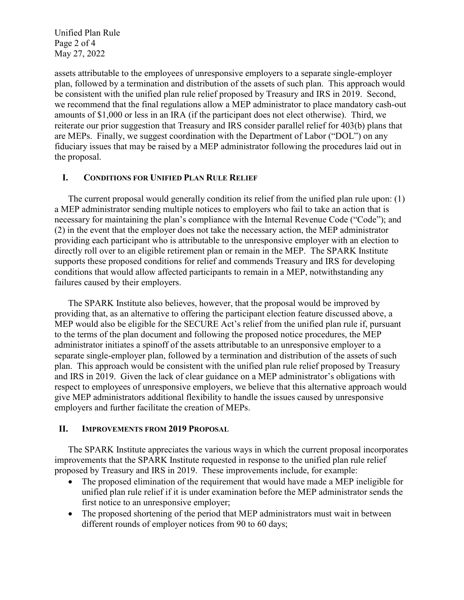Unified Plan Rule Page 2 of 4 May 27, 2022

assets attributable to the employees of unresponsive employers to a separate single-employer plan, followed by a termination and distribution of the assets of such plan. This approach would be consistent with the unified plan rule relief proposed by Treasury and IRS in 2019. Second, we recommend that the final regulations allow a MEP administrator to place mandatory cash-out amounts of \$1,000 or less in an IRA (if the participant does not elect otherwise). Third, we reiterate our prior suggestion that Treasury and IRS consider parallel relief for 403(b) plans that are MEPs. Finally, we suggest coordination with the Department of Labor ("DOL") on any fiduciary issues that may be raised by a MEP administrator following the procedures laid out in the proposal.

### I. CONDITIONS FOR UNIFIED PLAN RULE RELIEF

The current proposal would generally condition its relief from the unified plan rule upon: (1) a MEP administrator sending multiple notices to employers who fail to take an action that is necessary for maintaining the plan's compliance with the Internal Revenue Code ("Code"); and (2) in the event that the employer does not take the necessary action, the MEP administrator providing each participant who is attributable to the unresponsive employer with an election to directly roll over to an eligible retirement plan or remain in the MEP. The SPARK Institute supports these proposed conditions for relief and commends Treasury and IRS for developing conditions that would allow affected participants to remain in a MEP, notwithstanding any failures caused by their employers.

The SPARK Institute also believes, however, that the proposal would be improved by providing that, as an alternative to offering the participant election feature discussed above, a MEP would also be eligible for the SECURE Act's relief from the unified plan rule if, pursuant to the terms of the plan document and following the proposed notice procedures, the MEP administrator initiates a spinoff of the assets attributable to an unresponsive employer to a separate single-employer plan, followed by a termination and distribution of the assets of such plan. This approach would be consistent with the unified plan rule relief proposed by Treasury and IRS in 2019. Given the lack of clear guidance on a MEP administrator's obligations with respect to employees of unresponsive employers, we believe that this alternative approach would give MEP administrators additional flexibility to handle the issues caused by unresponsive employers and further facilitate the creation of MEPs.

#### II. IMPROVEMENTS FROM 2019 PROPOSAL

The SPARK Institute appreciates the various ways in which the current proposal incorporates improvements that the SPARK Institute requested in response to the unified plan rule relief proposed by Treasury and IRS in 2019. These improvements include, for example:

- The proposed elimination of the requirement that would have made a MEP ineligible for unified plan rule relief if it is under examination before the MEP administrator sends the first notice to an unresponsive employer;
- The proposed shortening of the period that MEP administrators must wait in between different rounds of employer notices from 90 to 60 days;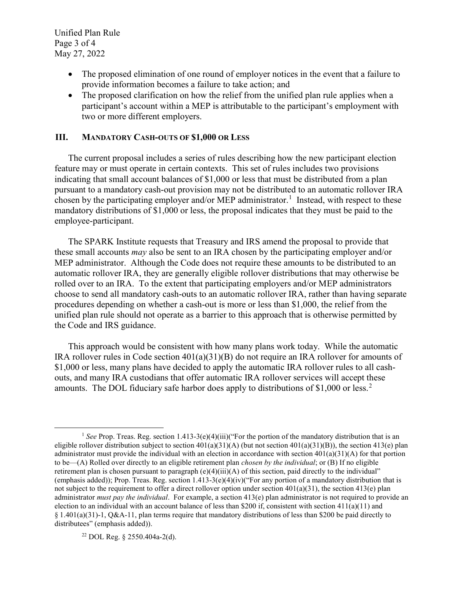Unified Plan Rule Page 3 of 4 May 27, 2022

- The proposed elimination of one round of employer notices in the event that a failure to provide information becomes a failure to take action; and
- The proposed clarification on how the relief from the unified plan rule applies when a participant's account within a MEP is attributable to the participant's employment with two or more different employers.

## III. MANDATORY CASH-OUTS OF \$1,000 OR LESS

The current proposal includes a series of rules describing how the new participant election feature may or must operate in certain contexts. This set of rules includes two provisions indicating that small account balances of \$1,000 or less that must be distributed from a plan pursuant to a mandatory cash-out provision may not be distributed to an automatic rollover IRA chosen by the participating employer and/or MEP administrator.<sup>1</sup> Instead, with respect to these mandatory distributions of \$1,000 or less, the proposal indicates that they must be paid to the employee-participant.

The SPARK Institute requests that Treasury and IRS amend the proposal to provide that these small accounts may also be sent to an IRA chosen by the participating employer and/or MEP administrator. Although the Code does not require these amounts to be distributed to an automatic rollover IRA, they are generally eligible rollover distributions that may otherwise be rolled over to an IRA. To the extent that participating employers and/or MEP administrators choose to send all mandatory cash-outs to an automatic rollover IRA, rather than having separate procedures depending on whether a cash-out is more or less than \$1,000, the relief from the unified plan rule should not operate as a barrier to this approach that is otherwise permitted by the Code and IRS guidance.

This approach would be consistent with how many plans work today. While the automatic IRA rollover rules in Code section 401(a)(31)(B) do not require an IRA rollover for amounts of \$1,000 or less, many plans have decided to apply the automatic IRA rollover rules to all cashouts, and many IRA custodians that offer automatic IRA rollover services will accept these amounts. The DOL fiduciary safe harbor does apply to distributions of \$1,000 or less.<sup>2</sup>

22 DOL Reg. § 2550.404a-2(d).

 $\overline{a}$ <sup>1</sup> See Prop. Treas. Reg. section 1.413-3(e)(4)(iii)("For the portion of the mandatory distribution that is an eligible rollover distribution subject to section  $401(a)(31)(A)$  (but not section  $401(a)(31)(B)$ ), the section  $413(e)$  plan administrator must provide the individual with an election in accordance with section  $401(a)(31)(A)$  for that portion to be—(A) Rolled over directly to an eligible retirement plan *chosen by the individual*; or (B) If no eligible retirement plan is chosen pursuant to paragraph (e)(4)(iii)(A) of this section, paid directly to the individual" (emphasis added)); Prop. Treas. Reg. section 1.413-3(e)(4)(iv)("For any portion of a mandatory distribution that is not subject to the requirement to offer a direct rollover option under section 401(a)(31), the section 413(e) plan administrator *must pay the individual*. For example, a section  $413(e)$  plan administrator is not required to provide an election to an individual with an account balance of less than \$200 if, consistent with section 411(a)(11) and § 1.401(a)(31)-1, Q&A-11, plan terms require that mandatory distributions of less than \$200 be paid directly to distributees" (emphasis added)).